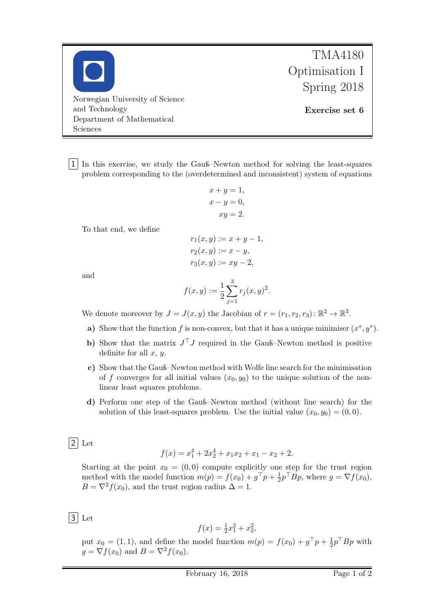Norwegian University of Science and Technology Department of Mathematical Sciences

TMA4180 Optimisation I Spring 2018

Exercise set 6

1 In this exercise, we study the Gauß–Newton method for solving the least-squares problem corresponding to the (overdetermined and inconsistent) system of equations

$$
x + y = 1,
$$
  
\n
$$
x - y = 0,
$$
  
\n
$$
xy = 2.
$$

To that end, we define

$$
r_1(x, y) := x + y - 1,
$$
  
\n
$$
r_2(x, y) := x - y,
$$
  
\n
$$
r_3(x, y) := xy - 2,
$$

and

$$
f(x,y) := \frac{1}{2} \sum_{j=1}^{3} r_j(x,y)^2.
$$

We denote moreover by  $J = J(x, y)$  the Jacobian of  $r = (r_1, r_2, r_3) : \mathbb{R}^2 \to \mathbb{R}^3$ .

- a) Show that the function f is non-convex, but that it has a unique minimiser  $(x^*, y^*)$ .
- b) Show that the matrix  $J^{\top}J$  required in the Gauß–Newton method is positive definite for all  $x, y$ .
- c) Show that the Gauß–Newton method with Wolfe line search for the minimisation of f converges for all initial values  $(x_0, y_0)$  to the unique solution of the nonlinear least squares problems.
- d) Perform one step of the Gauß–Newton method (without line search) for the solution of this least-squares problem. Use the initial value  $(x_0, y_0) = (0, 0)$ .

 $|2|$  Let

$$
f(x) = x_1^4 + 2x_2^4 + x_1x_2 + x_1 - x_2 + 2.
$$

Starting at the point  $x_0 = (0, 0)$  compute explicitly one step for the trust region method with the model function  $m(p) = f(x_0) + g^{\top}p + \frac{1}{2}$  $\frac{1}{2}p^{\top}Bp$ , where  $g = \nabla f(x_0)$ ,  $B = \nabla^2 f(x_0)$ , and the trust region radius  $\Delta = 1$ .

 $|3|$  Let

$$
f(x) = \frac{1}{2}x_1^2 + x_2^2,
$$

put  $x_0 = (1, 1)$ , and define the model function  $m(p) = f(x_0) + g^{\top}p + \frac{1}{2}$  $\frac{1}{2}p^{\top}Bp$  with  $g = \nabla f(x_0)$  and  $B = \nabla^2 f(x_0)$ .